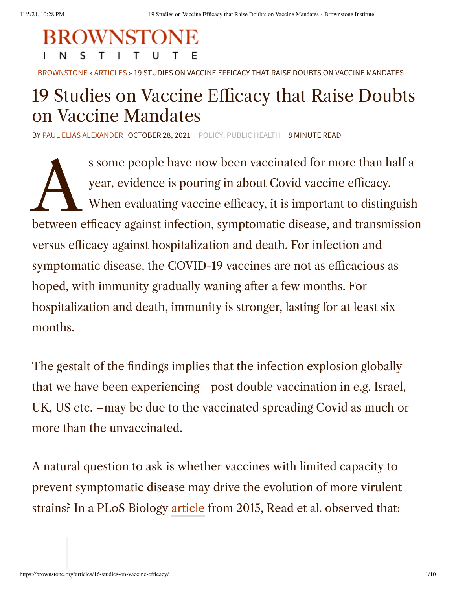

[BROWNSTONE](https://brownstone.org/) » [ARTICLES](https://brownstone.org/articles/) » 19 STUDIES ON VACCINE EFFICACY THAT RAISE DOUBTS ON VACCINE MANDATES

## 19 Studies on Vaccine Efficacy that Raise Doubts on Vaccine Mandates

BY PAUL ELIAS [ALEXANDER](https://brownstone.org/author/paul-elias-alexander/) OCTOBER 28, 2021 [POLICY,](https://brownstone.org/tag/policy/) PUBLIC [HEALTH](https://brownstone.org/tag/public-health/) 8 MINUTE READ

s some people have now been vaccinated for more than half a<br>year, evidence is pouring in about Covid vaccine efficacy.<br>When evaluating vaccine efficacy, it is important to distinguish<br>between efficacy against infection, sy s some people have now been vaccinated for more than half a year, evidence is pouring in about Covid vaccine efficacy. When evaluating vaccine efficacy, it is important to distinguish versus efficacy against hospitalization and death. For infection and symptomatic disease, the COVID-19 vaccines are not as efficacious as hoped, with immunity gradually waning after a few months. For hospitalization and death, immunity is stronger, lasting for at least six months.

The gestalt of the findings implies that the infection explosion globally that we have been experiencing– post double vaccination in e.g. Israel, UK, US etc. –may be due to the vaccinated spreading Covid as much or more than the unvaccinated.

A natural question to ask is whether vaccines with limited capacity to prevent symptomatic disease may drive the evolution of more virulent strains? In a PLoS Biology [article](https://pubmed.ncbi.nlm.nih.gov/26214839/) from 2015, Read et al. observed that: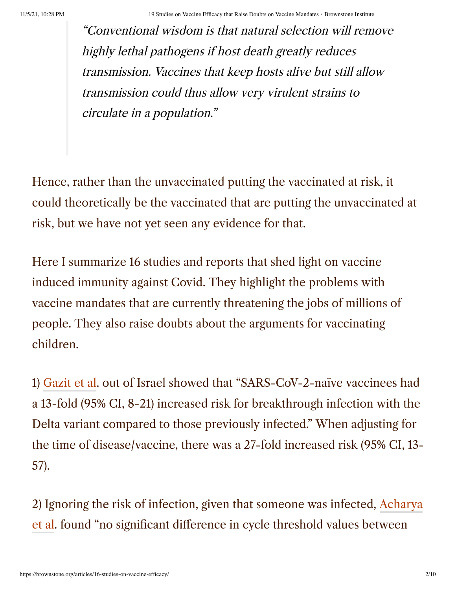"Conventional wisdom is that natural selection will remove highly lethal pathogens if host death greatly reduces transmission. Vaccines that keep hosts alive but still allow transmission could thus allow very virulent strains to circulate in a population."

Hence, rather than the unvaccinated putting the vaccinated at risk, it could theoretically be the vaccinated that are putting the unvaccinated at risk, but we have not yet seen any evidence for that.

Here I summarize 16 studies and reports that shed light on vaccine induced immunity against Covid. They highlight the problems with vaccine mandates that are currently threatening the jobs of millions of people. They also raise doubts about the arguments for vaccinating children.

1) [Gazit et al](https://www.medrxiv.org/content/10.1101/2021.08.24.21262415v1.full). out of Israel showed that "SARS-CoV-2-naïve vaccinees had a 13-fold (95% CI, 8-21) increased risk for breakthrough infection with the Delta variant compared to those previously infected." When adjusting for the time of disease/vaccine, there was a 27-fold increased risk (95% CI, 13- 57).

2) Ignoring the risk of infection, given that someone was infected, Acharya et al. found "no [significant difference](https://www.medrxiv.org/content/10.1101/2021.09.28.21264262v2) in cycle threshold values between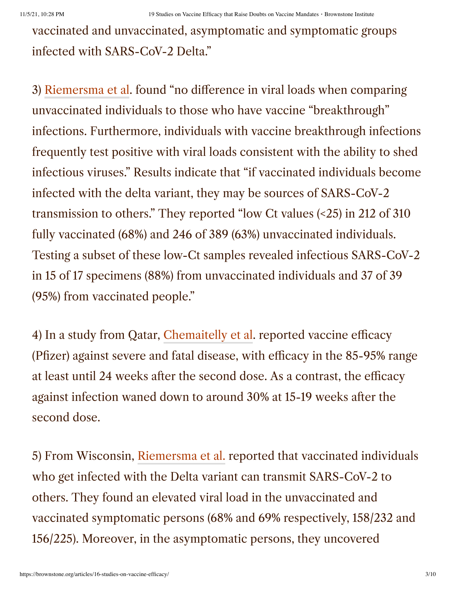vaccinated and unvaccinated, asymptomatic and symptomatic groups infected with SARS-CoV-2 Delta."

3) [Riemersma et al.](https://www.medrxiv.org/content/10.1101/2021.07.31.21261387v1) found "no difference in viral loads when comparing unvaccinated individuals to those who have vaccine "breakthrough" infections. Furthermore, individuals with vaccine breakthrough infections frequently test positive with viral loads consistent with the ability to shed infectious viruses." Results indicate that "if vaccinated individuals become infected with the delta variant, they may be sources of SARS-CoV-2 transmission to others." They reported "low Ct values (<25) in 212 of 310 fully vaccinated (68%) and 246 of 389 (63%) unvaccinated individuals. Testing a subset of these low-Ct samples revealed infectious SARS-CoV-2 in 15 of 17 specimens (88%) from unvaccinated individuals and 37 of 39 (95%) from vaccinated people."

4) In a study from Qatar, [Chemaitelly](https://www.medrxiv.org/content/10.1101/2021.08.25.21262584v1.full.pdf) et al. reported vaccine efficacy (Pfizer) against severe and fatal disease, with efficacy in the 85-95% range at least until 24 weeks after the second dose. As a contrast, the efficacy against infection waned down to around 30% at 15-19 weeks after the second dose.

5) From Wisconsin, [Riemersma et al.](https://www.medrxiv.org/content/10.1101/2021.07.31.21261387v2) reported that vaccinated individuals who get infected with the Delta variant can transmit SARS-CoV-2 to others. They found an elevated viral load in the unvaccinated and vaccinated symptomatic persons (68% and 69% respectively, 158/232 and 156/225). Moreover, in the asymptomatic persons, they uncovered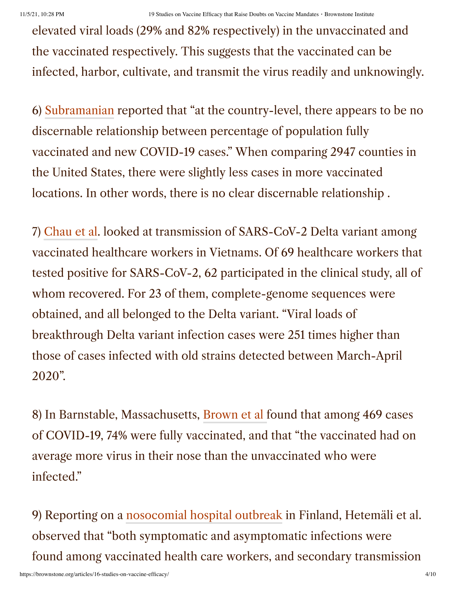elevated viral loads (29% and 82% respectively) in the unvaccinated and the vaccinated respectively. This suggests that the vaccinated can be infected, harbor, cultivate, and transmit the virus readily and unknowingly.

6) [Subramanian](https://link.springer.com/article/10.1007/s10654-021-00808-7) reported that "at the country-level, there appears to be no discernable relationship between percentage of population fully vaccinated and new COVID-19 cases." When comparing 2947 counties in the United States, there were slightly less cases in more vaccinated locations. In other words, there is no clear discernable relationship .

7) [Chau](https://papers.ssrn.com/sol3/papers.cfm?abstract_id=3897733) et al. looked at transmission of SARS-CoV-2 Delta variant among vaccinated healthcare workers in Vietnams. Of 69 healthcare workers that tested positive for SARS-CoV-2, 62 participated in the clinical study, all of whom recovered. For 23 of them, complete-genome sequences were obtained, and all belonged to the Delta variant. "Viral loads of breakthrough Delta variant infection cases were 251 times higher than those of cases infected with old strains detected between March-April 2020".

8) In Barnstable, Massachusetts, [Brown](https://pubmed.ncbi.nlm.nih.gov/34351882/) et al found that among 469 cases of COVID-19, 74% were fully vaccinated, and that "the vaccinated had on average more virus in their nose than the unvaccinated who were infected."

9) Reporting on a [nosocomial hospital outbreak](https://www.eurosurveillance.org/content/10.2807/1560-7917.ES.2021.26.30.2100636) in Finland, Hetemäli et al. observed that "both symptomatic and asymptomatic infections were found among vaccinated health care workers, and secondary transmission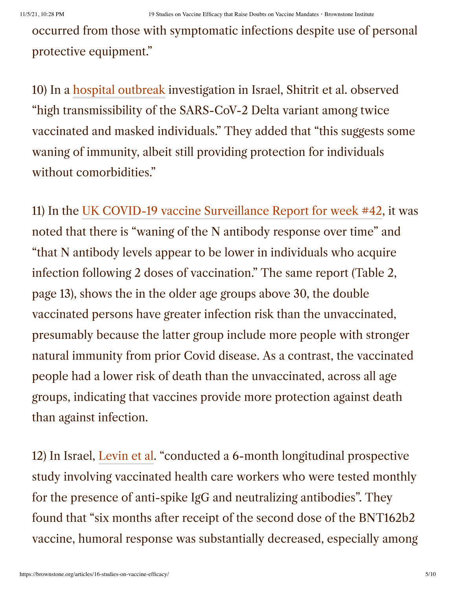occurred from those with symptomatic infections despite use of personal protective equipment."

10) In a [hospital outbreak](https://www.eurosurveillance.org/content/10.2807/1560-7917.ES.2021.26.39.2100822#html_fulltext) investigation in Israel, Shitrit et al. observed "high transmissibility of the SARS-CoV-2 Delta variant among twice vaccinated and masked individuals." They added that "this suggests some waning of immunity, albeit still providing protection for individuals without comorbidities."

11) In the UK COVID-19 vaccine [Surveillance](https://assets.publishing.service.gov.uk/government/uploads/system/uploads/attachment_data/file/1027511/Vaccine-surveillance-report-week-42.pdf) Report for week #42, it was noted that there is "waning of the N antibody response over time" and "that N antibody levels appear to be lower in individuals who acquire infection following 2 doses of vaccination." The same report (Table 2, page 13), shows the in the older age groups above 30, the double vaccinated persons have greater infection risk than the unvaccinated, presumably because the latter group include more people with stronger natural immunity from prior Covid disease. As a contrast, the vaccinated people had a lower risk of death than the unvaccinated, across all age groups, indicating that vaccines provide more protection against death than against infection.

12) In Israel, [Levin](https://www.nejm.org/doi/full/10.1056/NEJMoa2114583?query=featured_home) et al. "conducted a 6-month longitudinal prospective study involving vaccinated health care workers who were tested monthly for the presence of anti-spike IgG and neutralizing antibodies". They found that "six months after receipt of the second dose of the BNT162b2 vaccine, humoral response was substantially decreased, especially among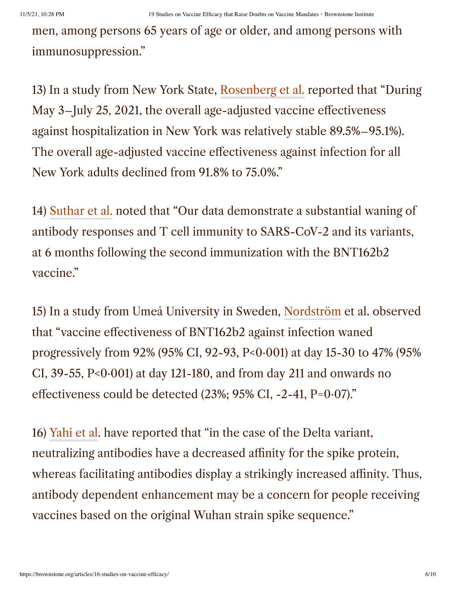men, among persons 65 years of age or older, and among persons with immunosuppression."

13) In a study from New York State, [Rosenberg](https://www.cdc.gov/mmwr/volumes/70/wr/mm7037a7.htm) et al. reported that "During May 3–July 25, 2021, the overall age-adjusted vaccine effectiveness against hospitalization in New York was relatively stable 89.5%–95.1%). The overall age-adjusted vaccine effectiveness against infection for all New York adults declined from 91.8% to 75.0%."

14) [Suthar](https://www.biorxiv.org/content/10.1101/2021.09.30.462488v1) et al. noted that "Our data demonstrate a substantial waning of antibody responses and T cell immunity to SARS-CoV-2 and its variants, at 6 months following the second immunization with the BNT162b2 vaccine."

15) In a study from Umeå University in Sweden, [Nordström](https://papers.ssrn.com/sol3/cf_dev/AbsByAuth.cfm?per_id=4803646) et al. observed that "vaccine effectiveness of BNT162b2 against infection waned progressively from 92% (95% CI, 92-93, P<0·001) at day 15-30 to 47% (95% CI,  $39-55$ ,  $P<0.001$ ) at day 121-180, and from day 211 and onwards no effectiveness could be detected (23%; 95% CI, -2-41, P=0·07)."

16) [Yahi et al.](https://www.journalofinfection.com/article/S0163-4453(21)00392-3/fulltext) have reported that "in the case of the Delta variant, neutralizing antibodies have a decreased affinity for the spike protein, whereas facilitating antibodies display a strikingly increased affinity. Thus, antibody dependent enhancement may be a concern for people receiving vaccines based on the original Wuhan strain spike sequence."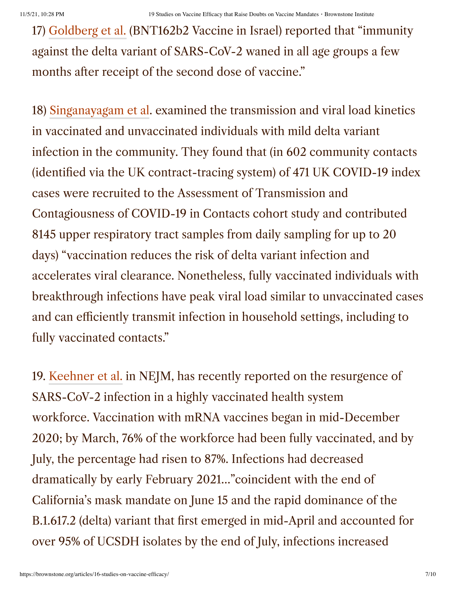17) [Goldberg](https://www.nejm.org/doi/full/10.1056/NEJMoa2114228) et al. (BNT162b2 Vaccine in Israel) reported that "immunity against the delta variant of SARS-CoV-2 waned in all age groups a few months after receipt of the second dose of vaccine."

18) [Singanayagam et al.](https://www.thelancet.com/journals/laninf/article/PIIS1473-3099(21)00648-4/fulltext) examined the transmission and viral load kinetics in vaccinated and unvaccinated individuals with mild delta variant infection in the community. They found that (in 602 community contacts (identified via the UK contract-tracing system) of 471 UK COVID-19 index cases were recruited to the Assessment of Transmission and Contagiousness of COVID-19 in Contacts cohort study and contributed 8145 upper respiratory tract samples from daily sampling for up to 20 days) "vaccination reduces the risk of delta variant infection and accelerates viral clearance. Nonetheless, fully vaccinated individuals with breakthrough infections have peak viral load similar to unvaccinated cases and can efficiently transmit infection in household settings, including to fully vaccinated contacts."

19. [Keehner](https://www.nejm.org/doi/full/10.1056/NEJMc2112981) et al. in NEJM, has recently reported on the resurgence of SARS-CoV-2 infection in a highly vaccinated health system workforce. Vaccination with mRNA vaccines began in mid-December 2020; by March, 76% of the workforce had been fully vaccinated, and by July, the percentage had risen to 87%. Infections had decreased dramatically by early February 2021…"coincident with the end of California's mask mandate on June 15 and the rapid dominance of the B.1.617.2 (delta) variant that first emerged in mid-April and accounted for over 95% of UCSDH isolates by the end of July, infections increased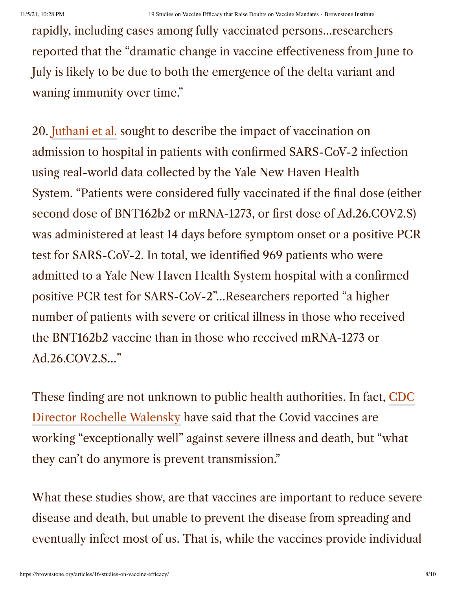rapidly, including cases among fully vaccinated persons…researchers reported that the "dramatic change in vaccine effectiveness from June to July is likely to be due to both the emergence of the delta variant and waning immunity over time."

20. [Juthani et al.](https://www.thelancet.com/journals/laninf/article/PIIS1473-3099(21)00558-2/fulltext) sought to describe the impact of vaccination on admission to hospital in patients with confirmed SARS-CoV-2 infection using real-world data collected by the Yale New Haven Health System. "Patients were considered fully vaccinated if the final dose (either second dose of BNT162b2 or mRNA-1273, or first dose of Ad.26.COV2.S) was administered at least 14 days before symptom onset or a positive PCR test for SARS-CoV-2. In total, we identified 969 patients who were admitted to a Yale New Haven Health System hospital with a confirmed positive PCR test for SARS-CoV-2"…Researchers reported "a higher number of patients with severe or critical illness in those who received the BNT162b2 vaccine than in those who received mRNA-1273 or Ad.26.COV2.S…"

These finding are not unknown to public health authorities. In fact, CDC Director Rochelle Walensky have said that the [Covid vaccines](https://nationalfile.com/cdc-director-rochelle-walensky-admitted-covid-19-vaccines-cannot-prevent-transmission/) are working "exceptionally well" against severe illness and death, but "what they can't do anymore is prevent transmission."

What these studies show, are that vaccines are important to reduce severe disease and death, but unable to prevent the disease from spreading and eventually infect most of us. That is, while the vaccines provide individual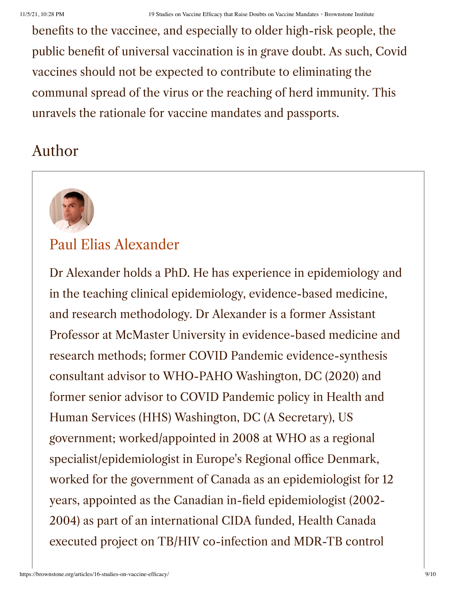benefits to the vaccinee, and especially to older high-risk people, the public benefit of universal vaccination is in grave doubt. As such, Covid vaccines should not be expected to contribute to eliminating the communal spread of the virus or the reaching of herd immunity. This unravels the rationale for vaccine mandates and passports.

## Author



## [Paul Elias Alexander](https://brownstone.org/author/paul-elias-alexander/)

Dr Alexander holds a PhD. He has experience in epidemiology and in the teaching clinical epidemiology, evidence-based medicine, and research methodology. Dr Alexander is a former Assistant Professor at McMaster University in evidence-based medicine and research methods; former COVID Pandemic evidence-synthesis consultant advisor to WHO-PAHO Washington, DC (2020) and former senior advisor to COVID Pandemic policy in Health and Human Services (HHS) Washington, DC (A Secretary), US government; worked/appointed in 2008 at WHO as a regional specialist/epidemiologist in Europe's Regional office Denmark, worked for the government of Canada as an epidemiologist for 12 years, appointed as the Canadian in-field epidemiologist (2002- 2004) as part of an international CIDA funded, Health Canada executed project on TB/HIV co-infection and MDR-TB control